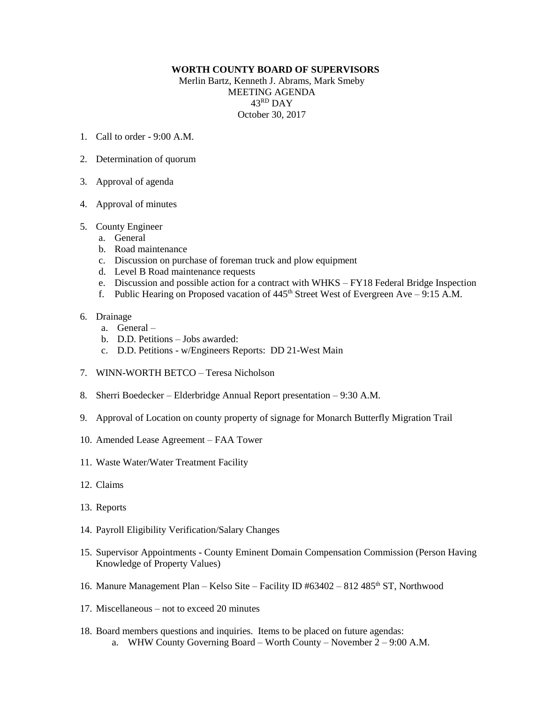## **WORTH COUNTY BOARD OF SUPERVISORS**

Merlin Bartz, Kenneth J. Abrams, Mark Smeby MEETING AGENDA 43 RD DAY October 30, 2017

- 1. Call to order 9:00 A.M.
- 2. Determination of quorum
- 3. Approval of agenda
- 4. Approval of minutes
- 5. County Engineer
	- a. General
	- b. Road maintenance
	- c. Discussion on purchase of foreman truck and plow equipment
	- d. Level B Road maintenance requests
	- e. Discussion and possible action for a contract with WHKS FY18 Federal Bridge Inspection
	- f. Public Hearing on Proposed vacation of  $445<sup>th</sup>$  Street West of Evergreen Ave 9:15 A.M.
- 6. Drainage
	- a. General –
	- b. D.D. Petitions Jobs awarded:
	- c. D.D. Petitions w/Engineers Reports: DD 21-West Main
- 7. WINN-WORTH BETCO Teresa Nicholson
- 8. Sherri Boedecker Elderbridge Annual Report presentation 9:30 A.M.
- 9. Approval of Location on county property of signage for Monarch Butterfly Migration Trail
- 10. Amended Lease Agreement FAA Tower
- 11. Waste Water/Water Treatment Facility
- 12. Claims
- 13. Reports
- 14. Payroll Eligibility Verification/Salary Changes
- 15. Supervisor Appointments County Eminent Domain Compensation Commission (Person Having Knowledge of Property Values)
- 16. Manure Management Plan Kelso Site Facility ID  $\text{\#}63402 \text{812 } 485^{\text{th}}$  ST, Northwood
- 17. Miscellaneous not to exceed 20 minutes
- 18. Board members questions and inquiries. Items to be placed on future agendas: a. WHW County Governing Board – Worth County – November 2 – 9:00 A.M.